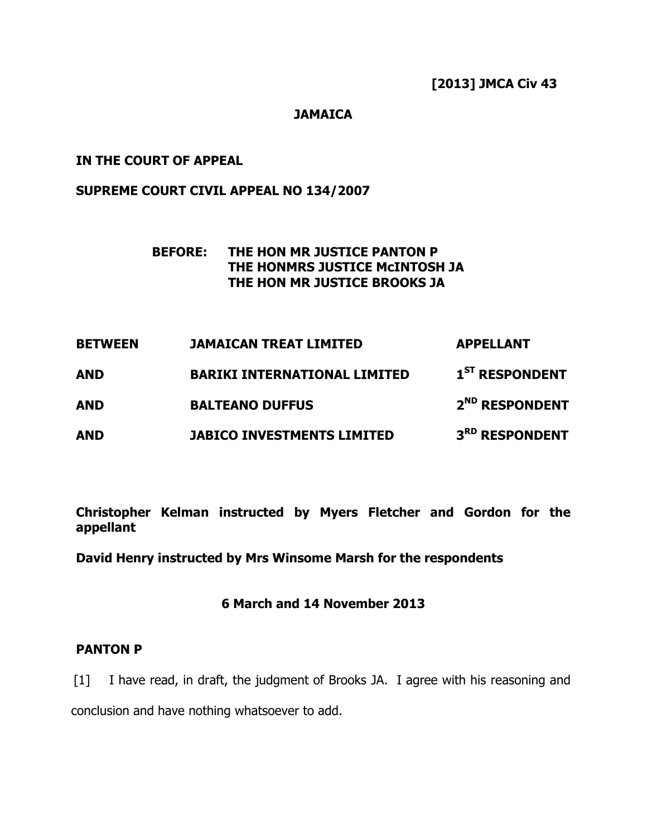#### JAMAICA

### IN THE COURT OF APPEAL

#### SUPREME COURT CIVIL APPEAL NO 134/2007

# BEFORE: THE HON MR JUSTICE PANTON P THE HONMRS JUSTICE McINTOSH JA THE HON MR JUSTICE BROOKS JA

| <b>BETWEEN</b> | <b>JAMAICAN TREAT LIMITED</b>       | <b>APPELLANT</b>           |
|----------------|-------------------------------------|----------------------------|
| <b>AND</b>     | <b>BARIKI INTERNATIONAL LIMITED</b> | 1 <sup>ST</sup> RESPONDENT |
| <b>AND</b>     | <b>BALTEANO DUFFUS</b>              | 2 <sup>ND</sup> RESPONDENT |
| <b>AND</b>     | <b>JABICO INVESTMENTS LIMITED</b>   | 3RD RESPONDENT             |

Christopher Kelman instructed by Myers Fletcher and Gordon for the appellant

David Henry instructed by Mrs Winsome Marsh for the respondents

## 6 March and 14 November 2013

#### PANTON P

[1] I have read, in draft, the judgment of Brooks JA. I agree with his reasoning and conclusion and have nothing whatsoever to add.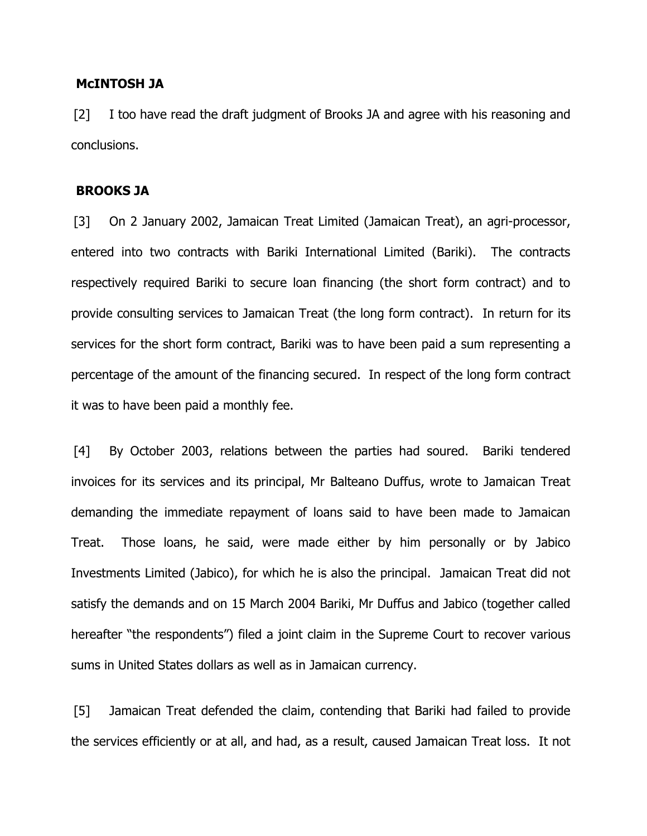#### McINTOSH JA

[2] I too have read the draft judgment of Brooks JA and agree with his reasoning and conclusions.

#### BROOKS JA

[3] On 2 January 2002, Jamaican Treat Limited (Jamaican Treat), an agri-processor, entered into two contracts with Bariki International Limited (Bariki). The contracts respectively required Bariki to secure loan financing (the short form contract) and to provide consulting services to Jamaican Treat (the long form contract). In return for its services for the short form contract, Bariki was to have been paid a sum representing a percentage of the amount of the financing secured. In respect of the long form contract it was to have been paid a monthly fee.

[4] By October 2003, relations between the parties had soured. Bariki tendered invoices for its services and its principal, Mr Balteano Duffus, wrote to Jamaican Treat demanding the immediate repayment of loans said to have been made to Jamaican Treat. Those loans, he said, were made either by him personally or by Jabico Investments Limited (Jabico), for which he is also the principal. Jamaican Treat did not satisfy the demands and on 15 March 2004 Bariki, Mr Duffus and Jabico (together called hereafter "the respondents") filed a joint claim in the Supreme Court to recover various sums in United States dollars as well as in Jamaican currency.

[5] Jamaican Treat defended the claim, contending that Bariki had failed to provide the services efficiently or at all, and had, as a result, caused Jamaican Treat loss. It not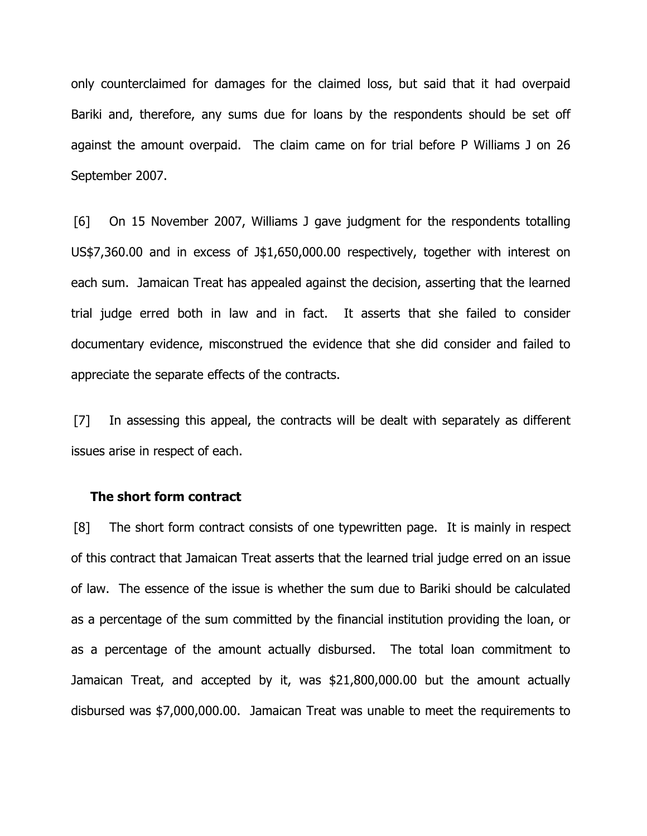only counterclaimed for damages for the claimed loss, but said that it had overpaid Bariki and, therefore, any sums due for loans by the respondents should be set off against the amount overpaid. The claim came on for trial before P Williams J on 26 September 2007.

[6] On 15 November 2007, Williams J gave judgment for the respondents totalling US\$7,360.00 and in excess of J\$1,650,000.00 respectively, together with interest on each sum. Jamaican Treat has appealed against the decision, asserting that the learned trial judge erred both in law and in fact. It asserts that she failed to consider documentary evidence, misconstrued the evidence that she did consider and failed to appreciate the separate effects of the contracts.

[7] In assessing this appeal, the contracts will be dealt with separately as different issues arise in respect of each.

#### The short form contract

[8] The short form contract consists of one typewritten page. It is mainly in respect of this contract that Jamaican Treat asserts that the learned trial judge erred on an issue of law. The essence of the issue is whether the sum due to Bariki should be calculated as a percentage of the sum committed by the financial institution providing the loan, or as a percentage of the amount actually disbursed. The total loan commitment to Jamaican Treat, and accepted by it, was \$21,800,000.00 but the amount actually disbursed was \$7,000,000.00. Jamaican Treat was unable to meet the requirements to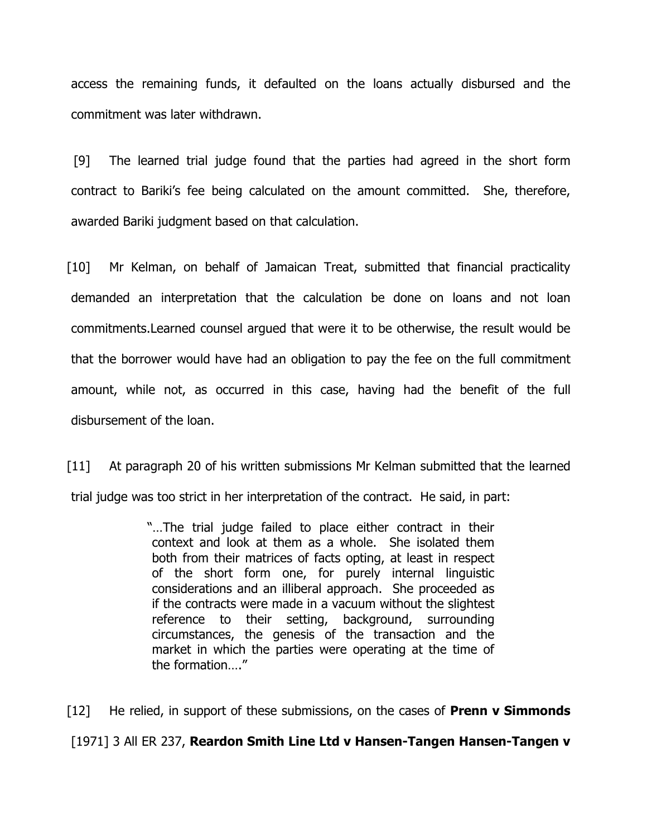access the remaining funds, it defaulted on the loans actually disbursed and the commitment was later withdrawn.

[9] The learned trial judge found that the parties had agreed in the short form contract to Bariki's fee being calculated on the amount committed. She, therefore, awarded Bariki judgment based on that calculation.

[10] Mr Kelman, on behalf of Jamaican Treat, submitted that financial practicality demanded an interpretation that the calculation be done on loans and not loan commitments.Learned counsel argued that were it to be otherwise, the result would be that the borrower would have had an obligation to pay the fee on the full commitment amount, while not, as occurred in this case, having had the benefit of the full disbursement of the loan.

[11] At paragraph 20 of his written submissions Mr Kelman submitted that the learned trial judge was too strict in her interpretation of the contract. He said, in part:

> "…The trial judge failed to place either contract in their context and look at them as a whole. She isolated them both from their matrices of facts opting, at least in respect of the short form one, for purely internal linguistic considerations and an illiberal approach. She proceeded as if the contracts were made in a vacuum without the slightest reference to their setting, background, surrounding circumstances, the genesis of the transaction and the market in which the parties were operating at the time of the formation…."

 $[12]$  He relied, in support of these submissions, on the cases of **Prenn v Simmonds** [1971] 3 All ER 237, Reardon Smith Line Ltd v Hansen-Tangen Hansen-Tangen v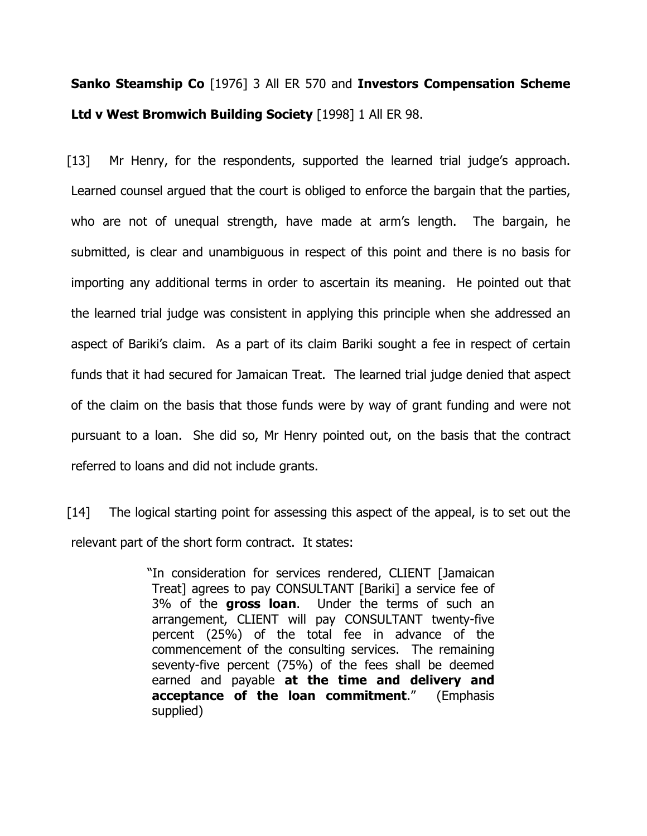# Sanko Steamship Co [1976] 3 All ER 570 and Investors Compensation Scheme Ltd v West Bromwich Building Society [1998] 1 All ER 98.

[13] Mr Henry, for the respondents, supported the learned trial judge's approach. Learned counsel argued that the court is obliged to enforce the bargain that the parties, who are not of unequal strength, have made at arm's length. The bargain, he submitted, is clear and unambiguous in respect of this point and there is no basis for importing any additional terms in order to ascertain its meaning. He pointed out that the learned trial judge was consistent in applying this principle when she addressed an aspect of Bariki's claim. As a part of its claim Bariki sought a fee in respect of certain funds that it had secured for Jamaican Treat. The learned trial judge denied that aspect of the claim on the basis that those funds were by way of grant funding and were not pursuant to a loan. She did so, Mr Henry pointed out, on the basis that the contract referred to loans and did not include grants.

[14] The logical starting point for assessing this aspect of the appeal, is to set out the relevant part of the short form contract. It states:

> "In consideration for services rendered, CLIENT [Jamaican Treat] agrees to pay CONSULTANT [Bariki] a service fee of 3% of the gross loan. Under the terms of such an arrangement, CLIENT will pay CONSULTANT twenty-five percent (25%) of the total fee in advance of the commencement of the consulting services. The remaining seventy-five percent (75%) of the fees shall be deemed earned and payable at the time and delivery and acceptance of the loan commitment." (Emphasis supplied)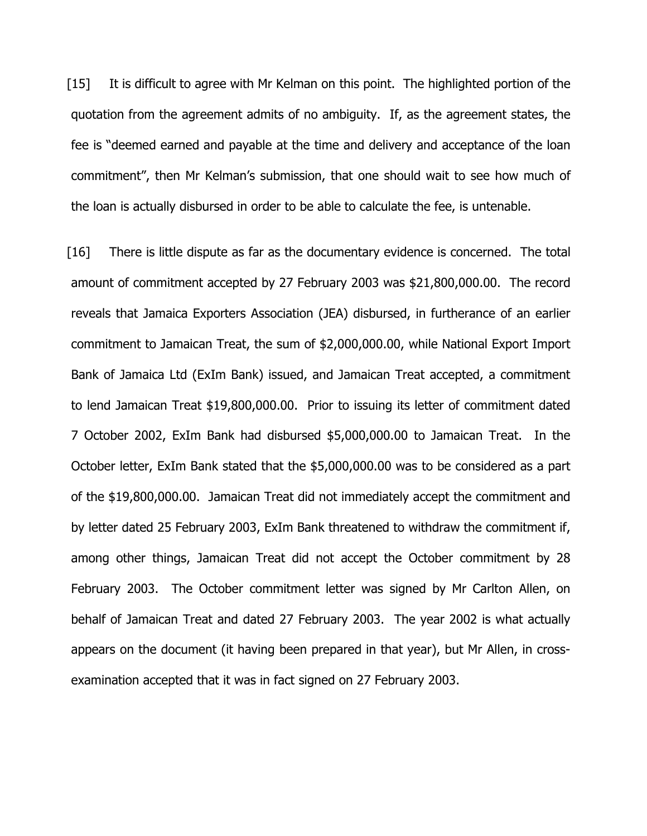[15] It is difficult to agree with Mr Kelman on this point. The highlighted portion of the quotation from the agreement admits of no ambiguity. If, as the agreement states, the fee is "deemed earned and payable at the time and delivery and acceptance of the loan commitment", then Mr Kelman's submission, that one should wait to see how much of the loan is actually disbursed in order to be able to calculate the fee, is untenable.

[16] There is little dispute as far as the documentary evidence is concerned. The total amount of commitment accepted by 27 February 2003 was \$21,800,000.00. The record reveals that Jamaica Exporters Association (JEA) disbursed, in furtherance of an earlier commitment to Jamaican Treat, the sum of \$2,000,000.00, while National Export Import Bank of Jamaica Ltd (ExIm Bank) issued, and Jamaican Treat accepted, a commitment to lend Jamaican Treat \$19,800,000.00. Prior to issuing its letter of commitment dated 7 October 2002, ExIm Bank had disbursed \$5,000,000.00 to Jamaican Treat. In the October letter, ExIm Bank stated that the \$5,000,000.00 was to be considered as a part of the \$19,800,000.00. Jamaican Treat did not immediately accept the commitment and by letter dated 25 February 2003, ExIm Bank threatened to withdraw the commitment if, among other things, Jamaican Treat did not accept the October commitment by 28 February 2003. The October commitment letter was signed by Mr Carlton Allen, on behalf of Jamaican Treat and dated 27 February 2003. The year 2002 is what actually appears on the document (it having been prepared in that year), but Mr Allen, in crossexamination accepted that it was in fact signed on 27 February 2003.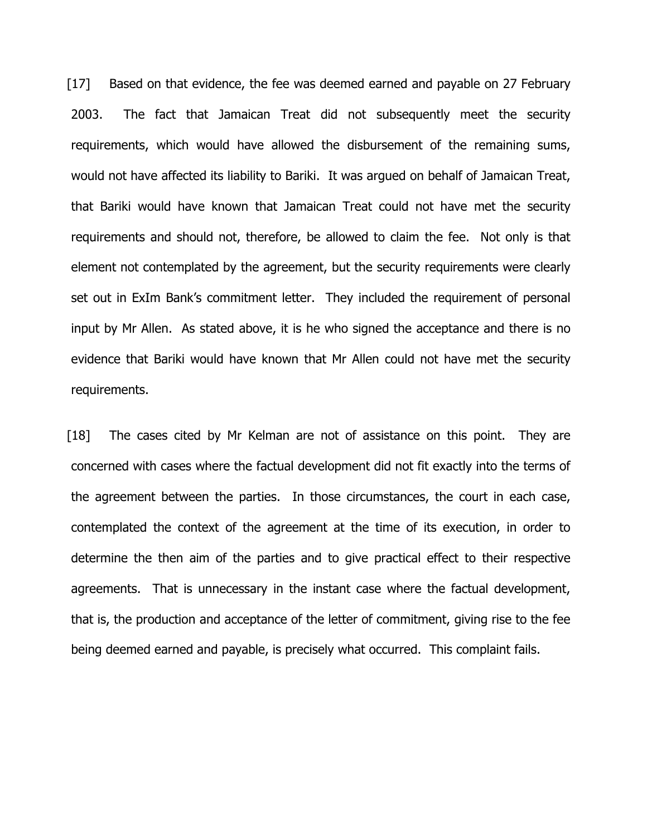[17] Based on that evidence, the fee was deemed earned and payable on 27 February 2003. The fact that Jamaican Treat did not subsequently meet the security requirements, which would have allowed the disbursement of the remaining sums, would not have affected its liability to Bariki. It was argued on behalf of Jamaican Treat, that Bariki would have known that Jamaican Treat could not have met the security requirements and should not, therefore, be allowed to claim the fee. Not only is that element not contemplated by the agreement, but the security requirements were clearly set out in ExIm Bank's commitment letter. They included the requirement of personal input by Mr Allen. As stated above, it is he who signed the acceptance and there is no evidence that Bariki would have known that Mr Allen could not have met the security requirements.

[18] The cases cited by Mr Kelman are not of assistance on this point. They are concerned with cases where the factual development did not fit exactly into the terms of the agreement between the parties. In those circumstances, the court in each case, contemplated the context of the agreement at the time of its execution, in order to determine the then aim of the parties and to give practical effect to their respective agreements. That is unnecessary in the instant case where the factual development, that is, the production and acceptance of the letter of commitment, giving rise to the fee being deemed earned and payable, is precisely what occurred. This complaint fails.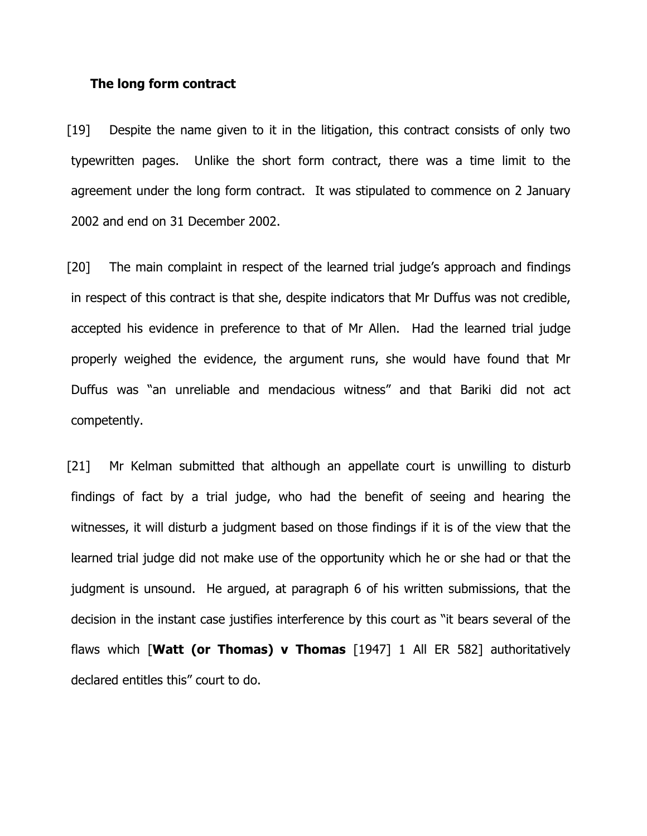#### The long form contract

[19] Despite the name given to it in the litigation, this contract consists of only two typewritten pages. Unlike the short form contract, there was a time limit to the agreement under the long form contract. It was stipulated to commence on 2 January 2002 and end on 31 December 2002.

[20] The main complaint in respect of the learned trial judge's approach and findings in respect of this contract is that she, despite indicators that Mr Duffus was not credible, accepted his evidence in preference to that of Mr Allen. Had the learned trial judge properly weighed the evidence, the argument runs, she would have found that Mr Duffus was "an unreliable and mendacious witness" and that Bariki did not act competently.

[21] Mr Kelman submitted that although an appellate court is unwilling to disturb findings of fact by a trial judge, who had the benefit of seeing and hearing the witnesses, it will disturb a judgment based on those findings if it is of the view that the learned trial judge did not make use of the opportunity which he or she had or that the judgment is unsound. He argued, at paragraph 6 of his written submissions, that the decision in the instant case justifies interference by this court as "it bears several of the flaws which  $\textsf{[Watt (or Thomas) v Thomas [1947] 1 All ER 582]}$  authoritatively declared entitles this" court to do.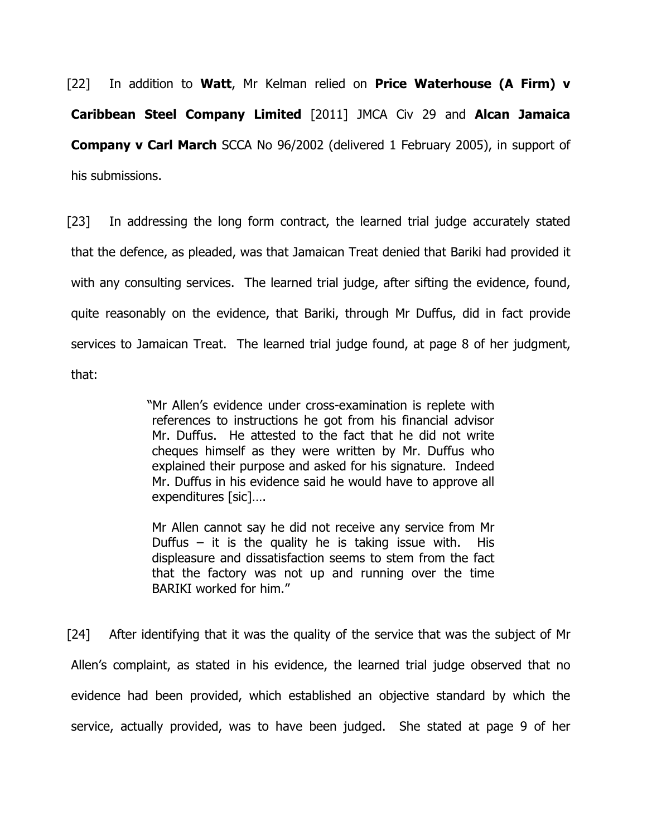[22] In addition to Watt, Mr Kelman relied on Price Waterhouse (A Firm) v Caribbean Steel Company Limited [2011] JMCA Civ 29 and Alcan Jamaica **Company v Carl March** SCCA No 96/2002 (delivered 1 February 2005), in support of his submissions.

[23] In addressing the long form contract, the learned trial judge accurately stated that the defence, as pleaded, was that Jamaican Treat denied that Bariki had provided it with any consulting services. The learned trial judge, after sifting the evidence, found, quite reasonably on the evidence, that Bariki, through Mr Duffus, did in fact provide services to Jamaican Treat. The learned trial judge found, at page 8 of her judgment, that:

> "Mr Allen's evidence under cross-examination is replete with references to instructions he got from his financial advisor Mr. Duffus. He attested to the fact that he did not write cheques himself as they were written by Mr. Duffus who explained their purpose and asked for his signature. Indeed Mr. Duffus in his evidence said he would have to approve all expenditures [sic]….

Mr Allen cannot say he did not receive any service from Mr Duffus – it is the quality he is taking issue with. His displeasure and dissatisfaction seems to stem from the fact that the factory was not up and running over the time BARIKI worked for him."

[24] After identifying that it was the quality of the service that was the subject of Mr Allen's complaint, as stated in his evidence, the learned trial judge observed that no evidence had been provided, which established an objective standard by which the service, actually provided, was to have been judged. She stated at page 9 of her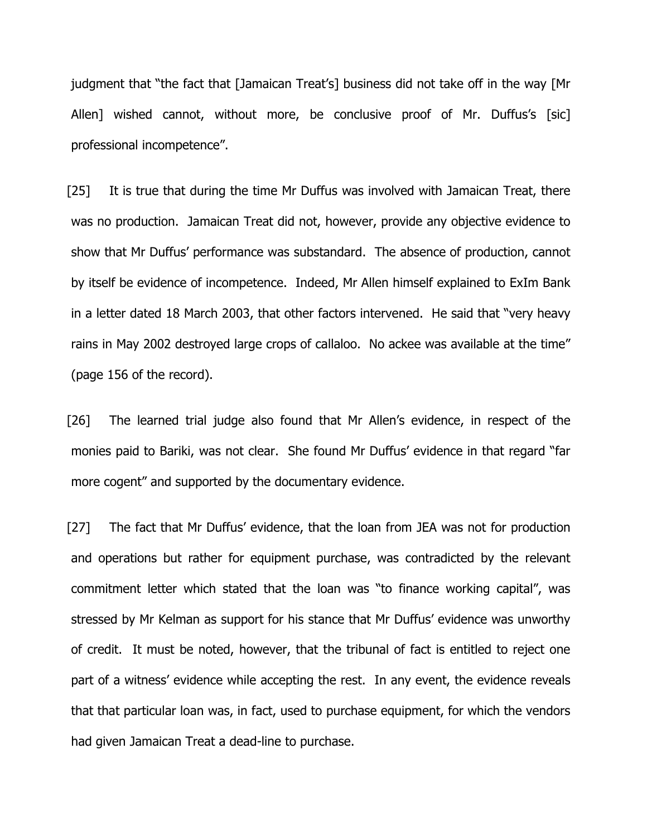judgment that "the fact that [Jamaican Treat's] business did not take off in the way [Mr Allen] wished cannot, without more, be conclusive proof of Mr. Duffus's [sic] professional incompetence".

[25] It is true that during the time Mr Duffus was involved with Jamaican Treat, there was no production. Jamaican Treat did not, however, provide any objective evidence to show that Mr Duffus' performance was substandard. The absence of production, cannot by itself be evidence of incompetence. Indeed, Mr Allen himself explained to ExIm Bank in a letter dated 18 March 2003, that other factors intervened. He said that "very heavy rains in May 2002 destroyed large crops of callaloo. No ackee was available at the time" (page 156 of the record).

[26] The learned trial judge also found that Mr Allen's evidence, in respect of the monies paid to Bariki, was not clear. She found Mr Duffus' evidence in that regard "far more cogent" and supported by the documentary evidence.

[27] The fact that Mr Duffus' evidence, that the loan from JEA was not for production and operations but rather for equipment purchase, was contradicted by the relevant commitment letter which stated that the loan was "to finance working capital", was stressed by Mr Kelman as support for his stance that Mr Duffus' evidence was unworthy of credit. It must be noted, however, that the tribunal of fact is entitled to reject one part of a witness' evidence while accepting the rest. In any event, the evidence reveals that that particular loan was, in fact, used to purchase equipment, for which the vendors had given Jamaican Treat a dead-line to purchase.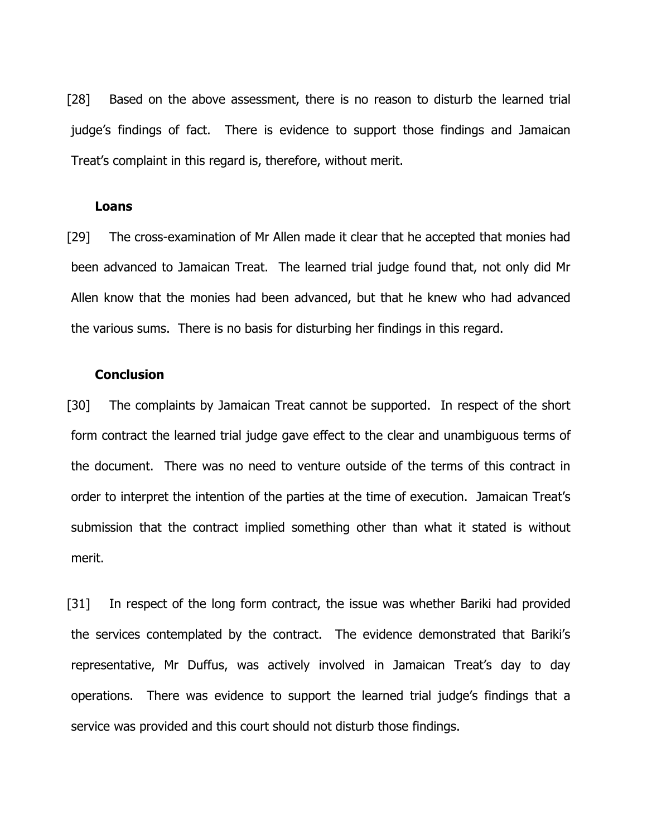[28] Based on the above assessment, there is no reason to disturb the learned trial judge's findings of fact. There is evidence to support those findings and Jamaican Treat's complaint in this regard is, therefore, without merit.

#### Loans

[29] The cross-examination of Mr Allen made it clear that he accepted that monies had been advanced to Jamaican Treat. The learned trial judge found that, not only did Mr Allen know that the monies had been advanced, but that he knew who had advanced the various sums. There is no basis for disturbing her findings in this regard.

#### Conclusion

[30] The complaints by Jamaican Treat cannot be supported. In respect of the short form contract the learned trial judge gave effect to the clear and unambiguous terms of the document. There was no need to venture outside of the terms of this contract in order to interpret the intention of the parties at the time of execution. Jamaican Treat's submission that the contract implied something other than what it stated is without merit.

[31] In respect of the long form contract, the issue was whether Bariki had provided the services contemplated by the contract. The evidence demonstrated that Bariki's representative, Mr Duffus, was actively involved in Jamaican Treat's day to day operations. There was evidence to support the learned trial judge's findings that a service was provided and this court should not disturb those findings.